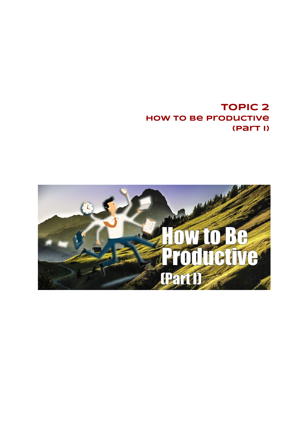**TOPIC 2 How to Be Productive (Part I)**

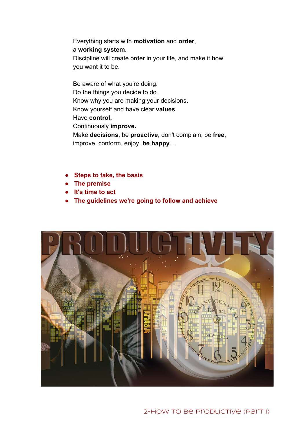Everything starts with **motivation**and **order**, a **working system**. Discipline will create order in your life, and make it how

you want it to be.

improve, conform, enjoy, **be happy**...

Be aware of what you're doing. Do the things you decide to do. Know why you are making your decisions. Know yourself and have clear **values**. Have **control.** Continuously **improve.** Make **decisions**, be **proactive**, don't complain, be **free**,

- **Steps to take, the basis**
- **● The premise**
- **● It's time to act**
- **● The guidelines we're going to follow and achieve**

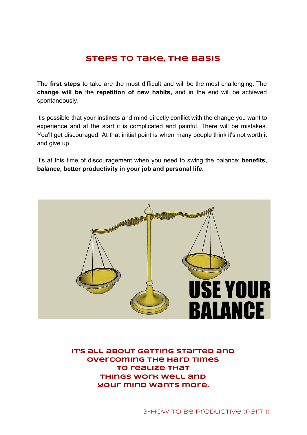# **Steps to take, the basis**

The **first steps** to take are the most difficult and will be the most challenging. The **change will be** the **repetition of new habits,** and in the end will be achieved spontaneously.

It's possible that your instincts and mind directly conflict with the change you want to experience and at the start it is complicated and painful. There will be mistakes. You'll get discouraged. At that initial point is when many people think it's not worth it and give up.

It's at this time of discouragement when you need to swing the balance: **benefits, balance, better productivity in your job and personal life.**



**It's all about getting started and overcoming the hard times to realize that things work well and your mind wants more.**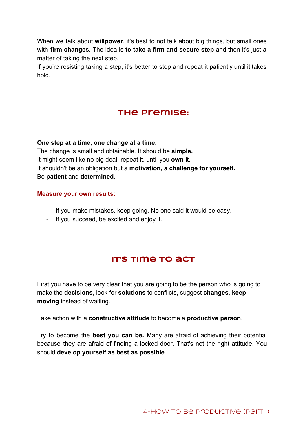When we talk about **willpower**, it's best to not talk about big things, but small ones with **firm changes.** The idea is **to take a firm and secure step** and then it's just a matter of taking the next step.

If you're resisting taking a step, it's better to stop and repeat it patiently until it takes hold.

# **The premise:**

**One step at a time, one change at a time.** The change is small and obtainable. It should be **simple.** It might seem like no big deal: repeat it, until you **own it.** It shouldn't be an obligation but a **motivation, a challenge for yourself.** Be **patient** and **determined**.

#### **Measure your own results:**

- If you make mistakes, keep going. No one said it would be easy.
- If you succeed, be excited and enjoy it.

# **It's time to act**

First you have to be very clear that you are going to be the person who is going to make the **decisions**, look for **solutions** to conflicts, suggest **changes**, **keep moving** instead of waiting.

Take action with a **constructive attitude** to become a **productive person**.

Try to become the **best you can be.** Many are afraid of achieving their potential because they are afraid of finding a locked door. That's not the right attitude. You should **develop yourself as best as possible.**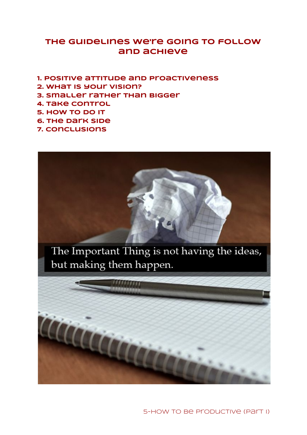# **The guidelines we're going to follow and achieve**

- **1. Positive attitude and proactiveness**
- **2. What is your vision?**
- **3. Smaller rather than bigger**
- **4. Take control**
- **5. How to do it**
- **6. The dark side**
- **7. Conclusions**



5-HOW TO Be Productive (Part I)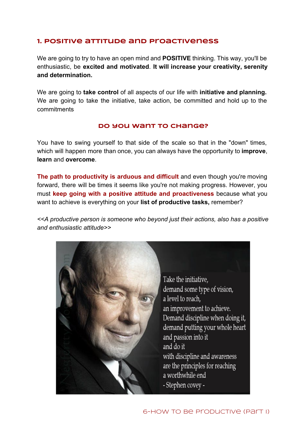# **1. Positive attitude and proactiveness**

We are going to try to have an open mind and **POSITIVE** thinking. This way, you'll be enthusiastic, be **excited and motivated**. **It will increase your creativity, serenity and determination.**

We are going to **take control** of all aspects of our life with **initiative and planning.** We are going to take the initiative, take action, be committed and hold up to the commitments

#### **Do you want to change?**

You have to swing yourself to that side of the scale so that in the "down" times, which will happen more than once, you can always have the opportunity to **improve**, **learn** and **overcome**.

**The path to productivity is arduous and difficult** and even though you're moving forward, there will be times it seems like you're not making progress. However, you must **keep going with a positive attitude and proactiveness** because what you want to achieve is everything on your **list of productive tasks,** remember?

*<<A productive person is someone who beyond just their actions, also has a positive and enthusiastic attitude>>*

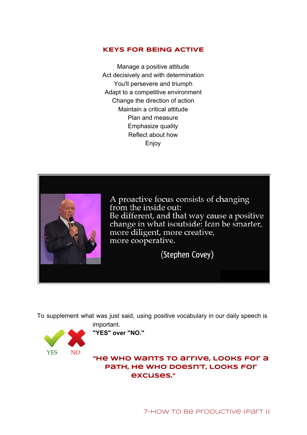## **KEYS FOR BEING ACTIVE**

Manage a positive attitude Act decisively and with determination You'll persevere and triumph Adapt to a competitive environment Change the direction of action Maintain a critical attitude Plan and measure Emphasize quality Reflect about how **Enjoy** 



A proactive focus consists of changing from the inside out: Be different, and that way cause a positive change in what isoutside: Ican be smarter, more diligent, more creative, more cooperative.

(Stephen Covey)

To supplement what was just said, using positive vocabulary in our daily speech is



important.

**"YES" over "NO."**

**"He who wants to arrive, looks for a path, he who doesn't, looks for excuses."**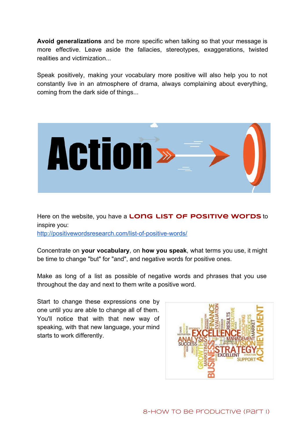**Avoid generalizations** and be more specific when talking so that your message is more effective. Leave aside the fallacies, stereotypes, exaggerations, twisted realities and victimization...

Speak positively, making your vocabulary more positive will also help you to not constantly live in an atmosphere of drama, always complaining about everything, coming from the dark side of things...



Here on the website, you have a **long list of positive words** to inspire you: http://positivewordsresearch.com/list-of-positive-words/

Concentrate on **your vocabulary**, on **how you speak**, what terms you use, it might be time to change "but" for "and", and negative words for positive ones.

Make as long of a list as possible of negative words and phrases that you use throughout the day and next to them write a positive word.

Start to change these expressions one by one until you are able to change all of them. You'll notice that with that new way of speaking, with that new language, your mind starts to work differently.

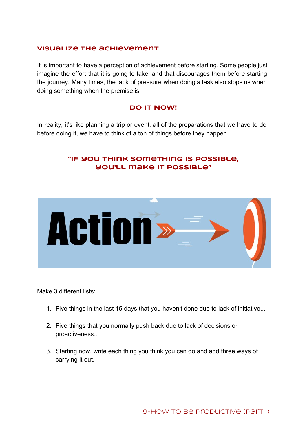### **Visualize the achievement**

It is important to have a perception of achievement before starting. Some people just imagine the effort that it is going to take, and that discourages them before starting the journey. Many times, the lack of pressure when doing a task also stops us when doing something when the premise is:

### **DO IT NOW!**

In reality, it's like planning a trip or event, all of the preparations that we have to do before doing it, we have to think of a ton of things before they happen.

# **"If you think something is possible, you'll make it possible"**



Make 3 different lists:

- 1. Five things in the last 15 days that you haven't done due to lack of initiative...
- 2. Five things that you normally push back due to lack of decisions or proactiveness...
- 3. Starting now, write each thing you think you can do and add three ways of carrying it out.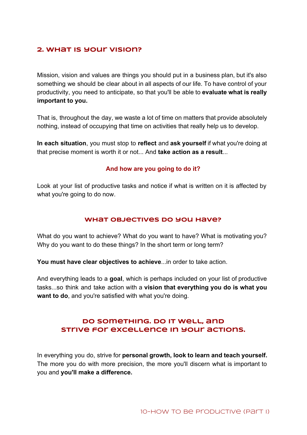# **2. What is your vision?**

Mission, vision and values are things you should put in a business plan, but it's also something we should be clear about in all aspects of our life. To have control of your productivity, you need to anticipate, so that you'll be able to **evaluate what is really important to you.**

That is, throughout the day, we waste a lot of time on matters that provide absolutely nothing, instead of occupying that time on activities that really help us to develop.

**In each situation**, you must stop to **reflect** and **ask yourself** if what you're doing at that precise moment is worth it or not... And **take action as a result**...

#### **And how are you going to do it?**

Look at your list of productive tasks and notice if what is written on it is affected by what you're going to do now.

#### **What objectives do you have?**

What do you want to achieve? What do you want to have? What is motivating you? Why do you want to do these things? In the short term or long term?

**You must have clear objectives to achieve**...in order to take action.

And everything leads to a **goal**, which is perhaps included on your list of productive tasks...so think and take action with a **vision that everything you do is what you want to do**, and you're satisfied with what you're doing.

# **Do something. Do it well, and strive for excellence in your actions.**

In everything you do, strive for **personal growth, look to learn and teach yourself.** The more you do with more precision, the more you'll discern what is important to you and **you'll make a difference.**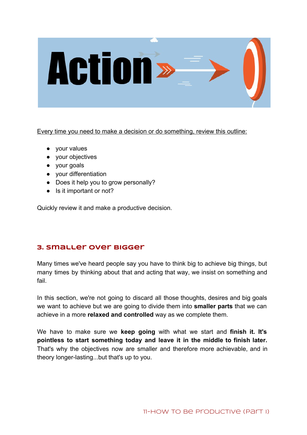

Every time you need to make a decision or do something, review this outline:

- your values
- your objectives
- your goals
- your differentiation
- Does it help you to grow personally?
- Is it important or not?

Quickly review it and make a productive decision.

# **3. Smaller over bigger**

Many times we've heard people say you have to think big to achieve big things, but many times by thinking about that and acting that way, we insist on something and fail.

In this section, we're not going to discard all those thoughts, desires and big goals we want to achieve but we are going to divide them into **smaller parts** that we can achieve in a more **relaxed and controlled**way as we complete them.

We have to make sure we **keep going** with what we start and **finish it. It's pointless to start something today and leave it in the middle to finish later.** That's why the objectives now are smaller and therefore more achievable, and in theory longer-lasting...but that's up to you.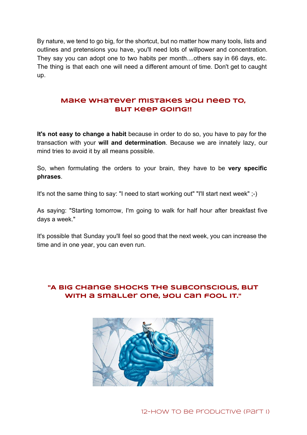By nature, we tend to go big, for the shortcut, but no matter how many tools, lists and outlines and pretensions you have, you'll need lots of willpower and concentration. They say you can adopt one to two habits per month....others say in 66 days, etc. The thing is that each one will need a different amount of time. Don't get to caught up.

# **Make whatever mistakes you need to, but keep going!!**

**It's not easy to change a habit** because in order to do so, you have to pay for the transaction with your **will and determination**. Because we are innately lazy, our mind tries to avoid it by all means possible.

So, when formulating the orders to your brain, they have to be **very specific phrases**.

It's not the same thing to say: "I need to start working out" "I'll start next week"  $;$ -)

As saying: "Starting tomorrow, I'm going to walk for half hour after breakfast five days a week."

It's possible that Sunday you'll feel so good that the next week, you can increase the time and in one year, you can even run.

# **"A big change shocks the subconscious, but with a smaller one, you can fool it."**



12-How To Be Productive (Part I)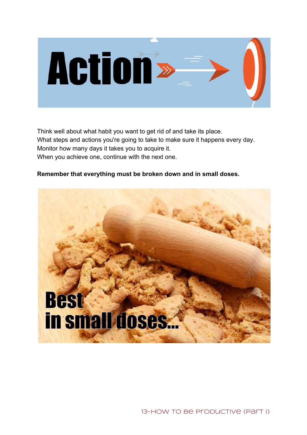

Think well about what habit you want to get rid of and take its place. What steps and actions you're going to take to make sure it happens every day. Monitor how many days it takes you to acquire it. When you achieve one, continue with the next one.

## **Remember that everything must be broken down and in small doses.**